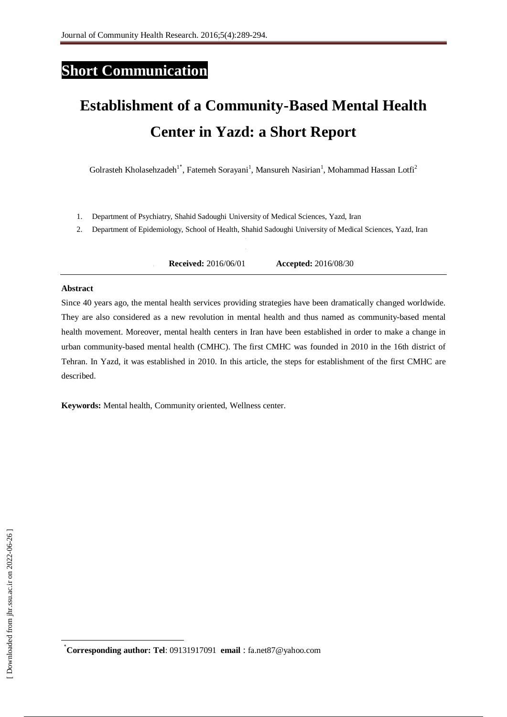# **Short Communication**

# **Establishment of a Community-Based Mental Health Center in Yazd: a Short Report**

Golrasteh Kholasehzadeh<sup>1\*</sup>, Fatemeh Sorayani<sup>1</sup>, Mansureh Nasirian<sup>1</sup>, Mohammad Hassan Lotfi<sup>2</sup>

- 1. Department of Psychiatry, Shahid Sadoughi University of Medical Sciences, Yazd, Iran
- 2. Department of Epidemiology, School of Health, Shahid Sadoughi University of Medical Sciences, Yazd, Iran

**3. Received:** 2016/06/01 **Accepted:** 2016/08/30

## **Abstract**

Since 40 years ago, the mental health services providing strategies have been dramatically changed worldwide. They are also considered as a new revolution in mental health and thus named as community-based mental health movement. Moreover, mental health centers in Iran have been established in order to make a change in urban community-based mental health (CMHC). The first CMHC was founded in 2010 in the 16th district of Tehran. In Yazd, it was established in 2010. In this article, the steps for establishment of the first CMHC are described.

**Keywords:** Mental health, Community oriented, Wellness center.

**.** 

<sup>٭</sup>**Corresponding author: Tel**: 09131917091 **email** : fa.net87@yahoo.com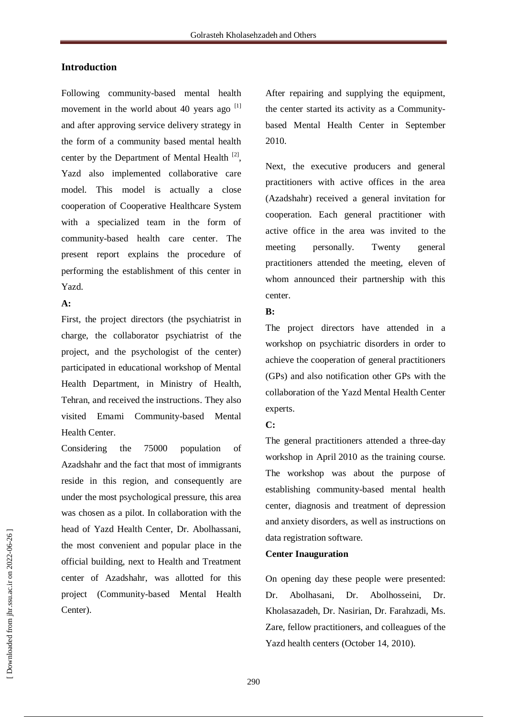## **Introduction**

Following community-based mental health movement in the world about 40 years ago  $^{[1]}$ and after approving service delivery strategy in the form of a community based mental health center by the Department of Mental Health  $[2]$ , Yazd also implemented collaborative care model. This model is actually a close cooperation of Cooperative Healthcare System with a specialized team in the form of community-based health care center. The present report explains the procedure of performing the establishment of this center in Yazd.

## **A:**

First, the project directors (the psychiatrist in charge, the collaborator psychiatrist of the project, and the psychologist of the center) participated in educational workshop of Mental Health Department, in Ministry of Health, Tehran, and received the instructions. They also visited Emami Community-based Mental Health Center.

Considering the 75000 population of Azadshahr and the fact that most of immigrants reside in this region, and consequently are under the most psychological pressure, this area was chosen as a pilot. In collaboration with the head of Yazd Health Center, Dr. Abolhassani, the most convenient and popular place in the official building, next to Health and Treatment center of Azadshahr, was allotted for this project (Community-based Mental Health Center).

After repairing and supplying the equipment, the center started its activity as a Communitybased Mental Health Center in September 2010.

Next, the executive producers and general practitioners with active offices in the area (Azadshahr) received a general invitation for cooperation. Each general practitioner with active office in the area was invited to the meeting personally. Twenty general practitioners attended the meeting, eleven of whom announced their partnership with this center.

## **B:**

The project directors have attended in a workshop on psychiatric disorders in order to achieve the cooperation of general practitioners (GPs) and also notification other GPs with the collaboration of the Yazd Mental Health Center experts.

## **C:**

The general practitioners attended a three-day workshop in April 2010 as the training course. The workshop was about the purpose of establishing community-based mental health center, diagnosis and treatment of depression and anxiety disorders, as well as instructions on data registration software.

## **Center Inauguration**

On opening day these people were presented: Dr. Abolhasani, Dr. Abolhosseini, Dr. Kholasazadeh, Dr. Nasirian, Dr. Farahzadi, Ms. Zare, fellow practitioners, and colleagues of the Yazd health centers (October 14, 2010).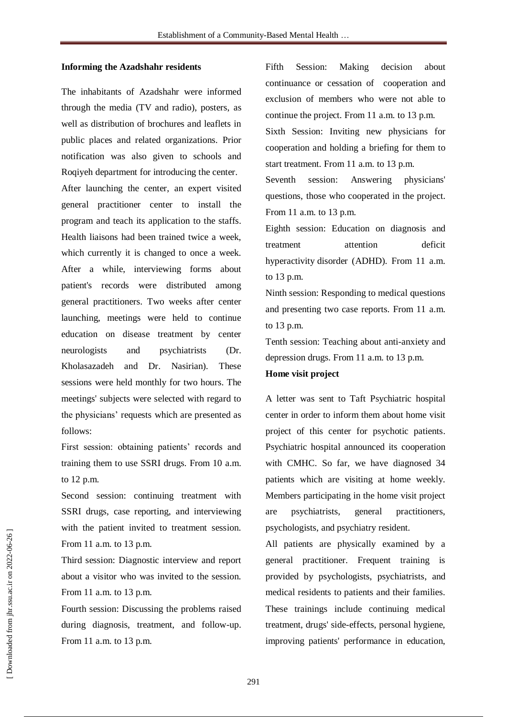#### **Informing the Azadshahr residents**

The inhabitants of Azadshahr were informed through the media (TV and radio), posters, as well as distribution of brochures and leaflets in public places and related organizations. Prior notification was also given to schools and Roqiyeh department for introducing the center. After launching the center, an expert visited general practitioner center to install the program and teach its application to the staffs. Health liaisons had been trained twice a week, which currently it is changed to once a week. After a while, interviewing forms about patient's records were distributed among general practitioners. Two weeks after center launching, meetings were held to continue education on disease treatment by center neurologists and psychiatrists (Dr. Kholasazadeh and Dr. Nasirian). These sessions were held monthly for two hours. The meetings' subjects were selected with regard to the physicians' requests which are presented as follows:

First session: obtaining patients' records and training them to use SSRI drugs. From 10 a.m. to 12 p.m.

Second session: continuing treatment with SSRI drugs, case reporting, and interviewing with the patient invited to treatment session. From 11 a.m. to 13 p.m.

Third session: Diagnostic interview and report about a visitor who was invited to the session. From 11 a.m. to 13 p.m.

Fourth session: Discussing the problems raised during diagnosis, treatment, and follow-up. From 11 a.m. to 13 p.m.

Fifth Session: Making decision about continuance or cessation of cooperation and exclusion of members who were not able to continue the project. From 11 a.m. to 13 p.m.

Sixth Session: Inviting new physicians for cooperation and holding a briefing for them to start treatment. From 11 a.m. to 13 p.m.

Seventh session: Answering physicians' questions, those who cooperated in the project. From 11 a.m. to 13 p.m.

Eighth session: Education on diagnosis and treatment attention deficit hyperactivity disorder (ADHD). From 11 a.m. to 13 p.m.

Ninth session: Responding to medical questions and presenting two case reports. From 11 a.m. to 13 p.m.

Tenth session: Teaching about anti-anxiety and depression drugs. From 11 a.m. to 13 p.m.

## **Home visit project**

A letter was sent to Taft Psychiatric hospital center in order to inform them about home visit project of this center for psychotic patients. Psychiatric hospital announced its cooperation with CMHC. So far, we have diagnosed 34 patients which are visiting at home weekly. Members participating in the home visit project are psychiatrists, general practitioners, psychologists, and psychiatry resident.

All patients are physically examined by a general practitioner. Frequent training is provided by psychologists, psychiatrists, and medical residents to patients and their families. These trainings include continuing medical treatment, drugs' side-effects, personal hygiene, improving patients' performance in education,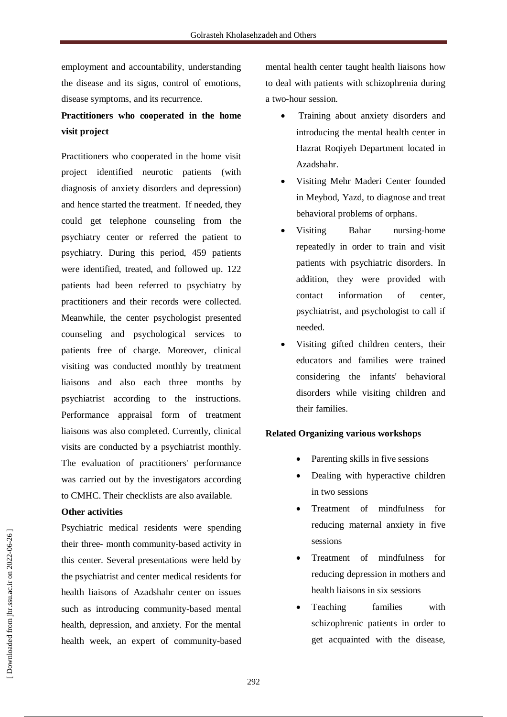employment and accountability, understanding the disease and its signs, control of emotions, disease symptoms, and its recurrence.

## **Practitioners who cooperated in the home visit project**

Practitioners who cooperated in the home visit project identified neurotic patients (with diagnosis of anxiety disorders and depression) and hence started the treatment. If needed, they could get telephone counseling from the psychiatry center or referred the patient to psychiatry. During this period, 459 patients were identified, treated, and followed up. 122 patients had been referred to psychiatry by practitioners and their records were collected. Meanwhile, the center psychologist presented counseling and psychological services to patients free of charge. Moreover, clinical visiting was conducted monthly by treatment liaisons and also each three months by psychiatrist according to the instructions. Performance appraisal form of treatment liaisons was also completed. Currently, clinical visits are conducted by a psychiatrist monthly. The evaluation of practitioners' performance was carried out by the investigators according to CMHC. Their checklists are also available.

## **Other activities**

Psychiatric medical residents were spending their three- month community-based activity in this center. Several presentations were held by the psychiatrist and center medical residents for health liaisons of Azadshahr center on issues such as introducing community-based mental health, depression, and anxiety. For the mental health week, an expert of community-based mental health center taught health liaisons how to deal with patients with schizophrenia during a two-hour session.

- Training about anxiety disorders and introducing the mental health center in Hazrat Roqiveh Department located in Azadshahr.
- Visiting Mehr Maderi Center founded in Meybod, Yazd, to diagnose and treat behavioral problems of orphans.
- Visiting Bahar nursing-home repeatedly in order to train and visit patients with psychiatric disorders. In addition, they were provided with contact information of center, psychiatrist, and psychologist to call if needed.
- Visiting gifted children centers, their educators and families were trained considering the infants' behavioral disorders while visiting children and their families.

## **Related Organizing various workshops**

- Parenting skills in five sessions
- Dealing with hyperactive children in two sessions
- Treatment of mindfulness for reducing maternal anxiety in five sessions
- Treatment of mindfulness for reducing depression in mothers and health liaisons in six sessions
- Teaching families with schizophrenic patients in order to get acquainted with the disease,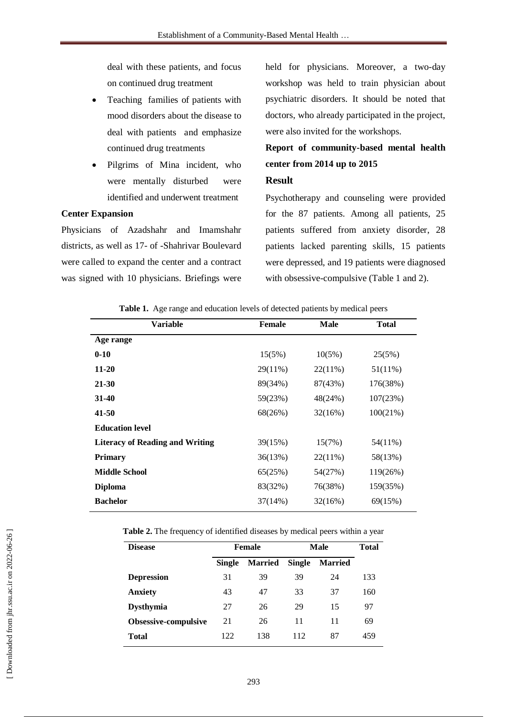deal with these patients, and focus on continued drug treatment

- Teaching families of patients with mood disorders about the disease to deal with patients and emphasize continued drug treatments
- Pilgrims of Mina incident, who were mentally disturbed were identified and underwent treatment

## **Center Expansion**

Physicians of Azadshahr and Imamshahr districts, as well as 17- of -Shahrivar Boulevard were called to expand the center and a contract was signed with 10 physicians. Briefings were held for physicians. Moreover, a two-day workshop was held to train physician about psychiatric disorders. It should be noted that doctors, who already participated in the project, were also invited for the workshops.

## **Report of community-based mental health center from 2014 up to 2015**

## **Result**

Psychotherapy and counseling were provided for the 87 patients. Among all patients, 25 patients suffered from anxiety disorder, 28 patients lacked parenting skills, 15 patients were depressed, and 19 patients were diagnosed with obsessive-compulsive (Table 1 and 2).

|  | Table 1. Age range and education levels of detected patients by medical peers |  |  |  |  |  |  |
|--|-------------------------------------------------------------------------------|--|--|--|--|--|--|
|--|-------------------------------------------------------------------------------|--|--|--|--|--|--|

| <b>Variable</b>                        | <b>Female</b> | <b>Male</b> | <b>Total</b> |
|----------------------------------------|---------------|-------------|--------------|
| Age range                              |               |             |              |
| $0 - 10$                               | 15(5%)        | 10(5%)      | 25(5%)       |
| $11 - 20$                              | $29(11\%)$    | 22(11%)     | 51(11%)      |
| 21-30                                  | 89(34%)       | 87(43%)     | 176(38%)     |
| $31-40$                                | 59(23%)       | 48(24%)     | 107(23%)     |
| 41-50                                  | 68(26%)       | 32(16%)     | 100(21%)     |
| <b>Education level</b>                 |               |             |              |
| <b>Literacy of Reading and Writing</b> | 39(15%)       | 15(7%)      | 54(11%)      |
| <b>Primary</b>                         | 36(13%)       | 22(11%)     | 58(13%)      |
| <b>Middle School</b>                   | 65(25%)       | 54(27%)     | 119(26%)     |
| <b>Diploma</b>                         | 83(32%)       | 76(38%)     | 159(35%)     |
| <b>Bachelor</b>                        | 37(14%)       | 32(16%)     | 69(15%)      |

**Table 2.** The frequency of identified diseases by medical peers within a year

| <b>Disease</b>              | <b>Female</b> |                | Male          |                | Total |
|-----------------------------|---------------|----------------|---------------|----------------|-------|
|                             | <b>Single</b> | <b>Married</b> | <b>Single</b> | <b>Married</b> |       |
| <b>Depression</b>           | 31            | 39             | 39            | 24             | 133   |
| <b>Anxiety</b>              | 43            | 47             | 33            | 37             | 160   |
| <b>Dysthymia</b>            | 27            | 26             | 29            | 15             | 97    |
| <b>Obsessive-compulsive</b> | 21            | 26             | 11            | 11             | 69    |
| Total                       | 122           | 138            | 112           | 87             | 459   |